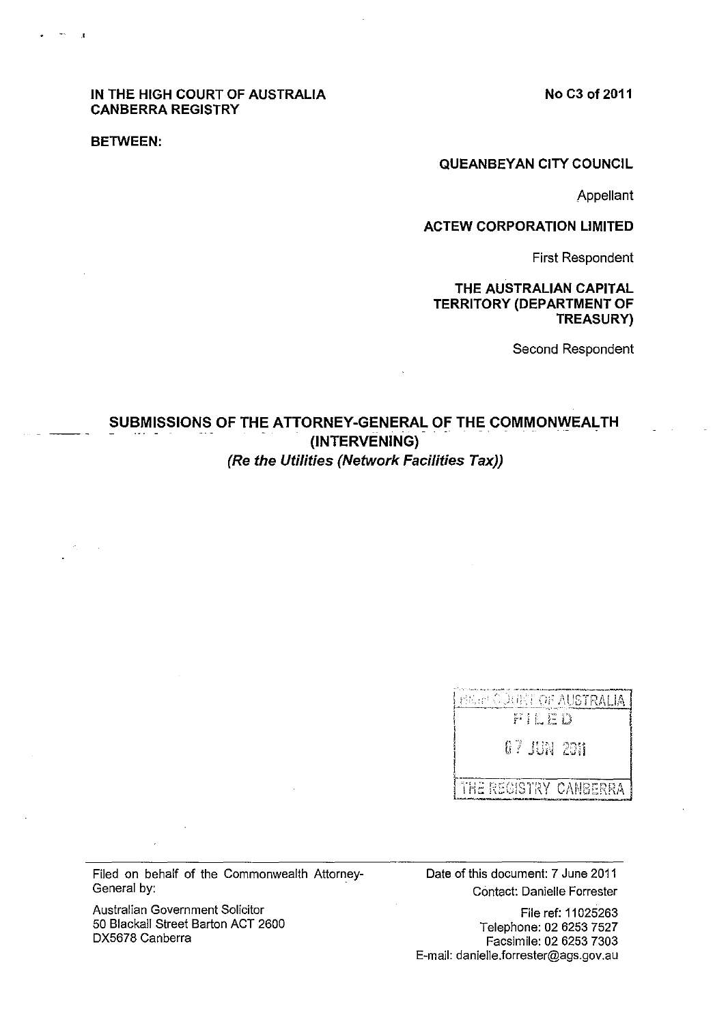**No C3 of2011** 

### **IN THE HIGH COURT OF AUSTRALIA CANBERRA REGISTRY**

**BETWEEN:** 

- ~--

### **QUEANBEYAN CITY COUNCIL**

Appellant

### **ACTEW CORPORATION LIMITED**

First Respondent

#### **THE AUSTRALIAN CAPITAL TERRITORY (DEPARTMENT OF TREASURy)**

Second Respondent

# SUBMISSIONS OF THE ATTORNEY-GENERAL OF THE COMMONWEALTH **(INTERVENING) (Re the Utilities (Network Facilities Tax))**

**PRINT COUNT OF AUSTRALIA** FILED

07 JUN 2011

THE REGISTRY CANBERRA

Filed on behalf of the Commonwealth Attorney-General by:

Australian Government Solicitor 50 Blackall Street Barton ACT 2600 DX5678 Canberra

Date of this document: 7 June 2011 Contact: Danielle Forrester

File ref: 11025263 Telephone: 02 6253 7527 Facsim ile: 02 6253 7303 E-mail: danielle.forrester@ags.gov.au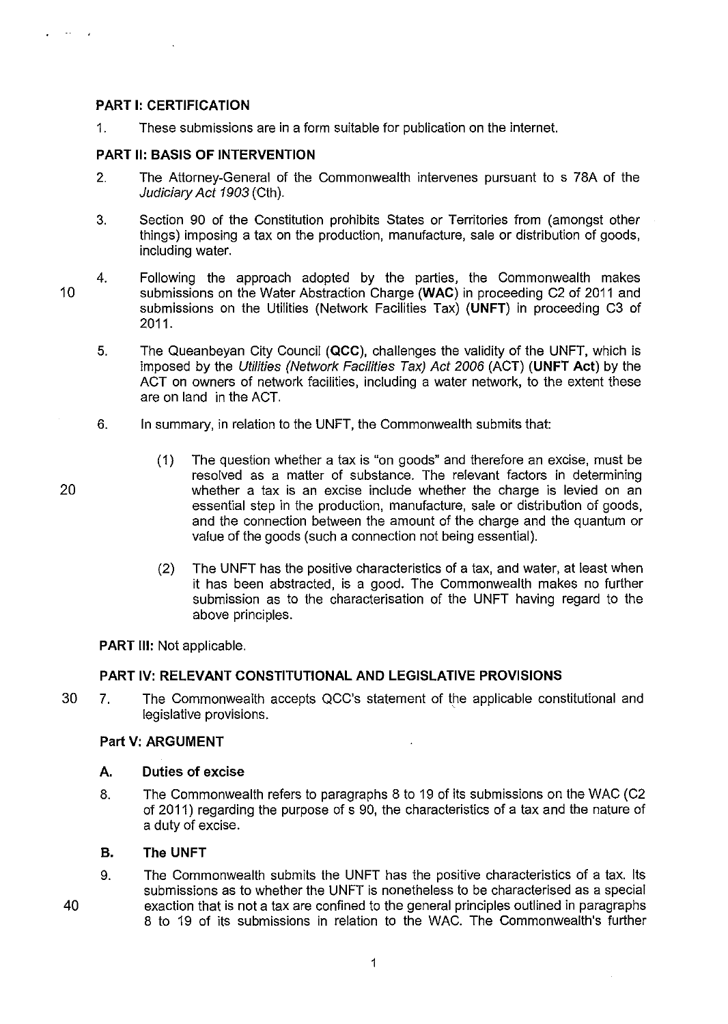## PART I: CERTIFICATION

1. These submissions are in a form suitable for publication on the internel.

### PART 11: BASIS OF INTERVENTION

- 2. The Attorney-General of the Commonwealth intervenes pursuant to s 78A of the Judiciary Act 1903 (Oh).
- 3. Section 90 of the Constitution prohibits States or Territories from (amongst other things) imposing a tax on the production, manufacture, sale or distribution of goods, including water.
- 10 4. Following the approach adopted by the parties, the Commonwealth makes submissions on the Water Abstraction Charge (WAC) in proceeding C2 of 2011 and submissions on the Utilities (Network Facilities Tax) (UNFT) in proceeding C3 of 2011.
	- 5. The Queanbeyan City Council (QCC), challenges the validity of the UNFT, which is imposed by the Utilities (Network Facilities Tax) Act 2006 (ACT) (UNFT Act) by the ACT on owners of network facilities, including a water network, to the extent these are on land in the ACT.
	- 6. In summary, in relation to the UNFT, the Commonwealth submits that:
- 20

40

- (1) The question whether a tax is "on goods" and therefore an excise, must be resolved as a matter of substance. The relevant factors in determining whether a tax is an excise include whether the charge is levied on an essential step in the production, manufacture, sale or distribution of goods, and the connection between the amount of the charge and the quantum or value of the goods (such a connection not being essential).
- (2) The UNFT has the positive characteristics of a tax, and water, at least when it has been abstracted, is a good. The Commonwealth makes no further submission as to the characterisation of the UNFT having regard to the above principles.

 $\cdot$ 

PART Ill: Not applicable.

# PART IV: RELEVANT CONSTITUTIONAL AND LEGISLATIVE PROVISIONS

30 7. The Commonwealth accepts QCC's statement of the applicable constitutional and legislative provisions.

# Part V: ARGUMENT

### A. Duties of excise

8. The Commonwealth refers to paragraphs 8 to 19 of its submissions on the WAC (C2 of 2011) regarding the purpose of s 90, the characteristics of a tax and the nature of a duty of excise.

# B. The UNFT

9. The Commonwealth submits the UNFT has the positive characteristics of a tax. Its submissions as to whether the UNFT is nonetheless to be characterised as a special exaction that is not a tax are confined to the general principles outlined in paragraphs 8 to 19 of its submissions in relation to the WAC. The Commonwealth's further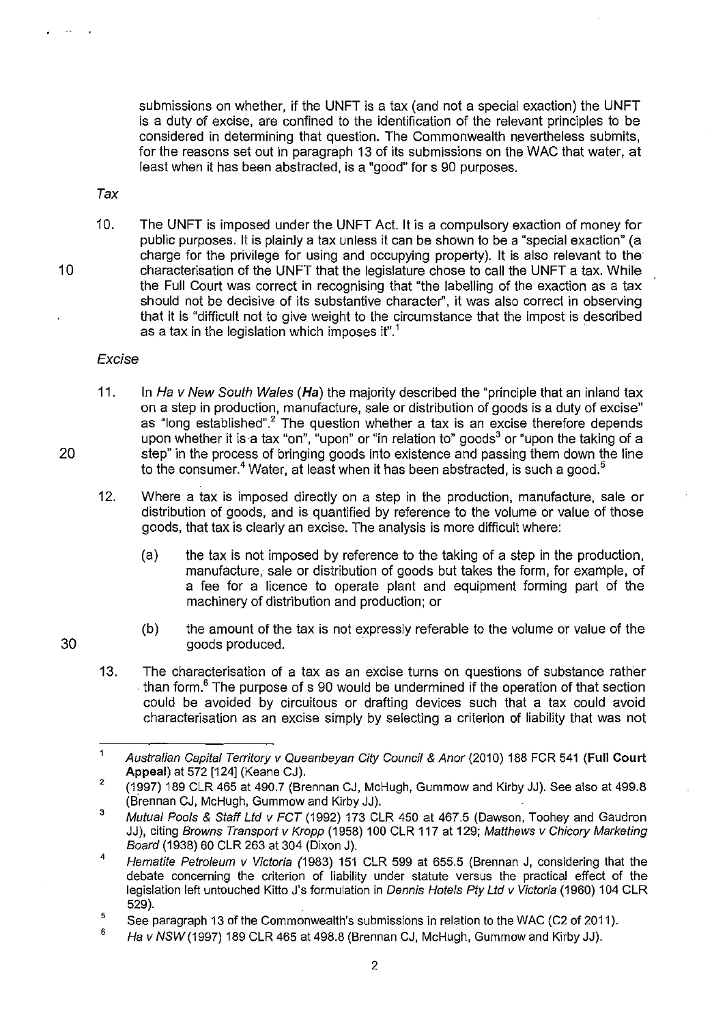submissions on whether, if the UNFT is a tax (and not a special exaction) the UNFT is a duty of excise, are confined to the identification of the relevant principles to be considered in determining that question. The Commonwealth nevertheless submits, for the reasons set out in paragraph 13 of its submissions on the WAC that water, at least when it has been abstracted, is a "good" for s 90 purposes.

Tax

10

20

10. The UNFT is imposed under the UNFT Act. It is a compulsory exaction of money for public purposes. It is plainly a tax unless it can be shown to be a "special exaction" (a charge for the privilege for using and occupying property). It is also relevant to the characterisation of the UNFT that the legislature chose to call the UNFT a tax. While the Full Court was correct in recognising that "the labelling of the exaction as a tax should not be decisive of its substantive character", it was also correct in observing that it is "difficult not to give weight to the circumstance that the impost is described as a tax in the legislation which imposes it".<sup>1</sup>

## Excise

- 11. In Ha v New South Wales (Ha) the majority described the "principle that an inland tax on a step in production, manufacture, sale or distribution of goods is a duty of excise" as "long established".<sup>2</sup> The question whether a tax is an excise therefore depends upon whether it is a tax "on", "upon" or "in relation to" goods $3$  or "upon the taking of a step" in the process of bringing goods into existence and passing them down the line to the consumer.<sup>4</sup> Water, at least when it has been abstracted, is such a good.<sup>5</sup>
- 12. Where a tax is imposed directly on a step in the production, manufacture, sale or distribution of goods, and is quantified by reference to the volume or value of those goods, that tax is clearly an excise. The analysis is more difficult where:
	- (a) the tax is not imposed by reference to the taking of a step in the production, manufacture, sale or distribution of goods but takes the form, for example, of a fee for a licence to operate plant and equipment forming part of the machinery of distribution and production; or
	- (b) the amount of the tax is not expressly referable to the volume or value of the goods produced. .
- 13. The characterisation of a tax as an excise turns on questions of substance rather  $\iota$  than form.<sup>6</sup> The purpose of s 90 would be undermined if the operation of that section could be avoided by circuitous or drafting devices such that a tax could avoid characterisation as an excise simply by selecting a criterion of liability that was not

 $\mathbf{1}$ Australian Capital Territory v Queanbeyan City Council & Anor (2010) 188 FCR 541 (Full Court Appeal) at 572 [124] (Keane CJ).

<sup>2</sup>  (1997) 189 CLR 465 at 490.7 (Brennan CJ, McHugh, Gummow and Kirby JJ). See also at 499.8 (Brennan CJ, McHugh, Gummow and Kirby JJ).

<sup>3</sup>  Mutual Pools & Staff Lld *v* FCT (1992) 173 CLR 450 at 467.5 (Dawson, Toohey and Gaudron JJ), citing Browns Transport *v* Kropp (1958) 100 CLR 117 at 129; Matthews *v* Chicory Marketing Board (1938) 60 CLR 263 at 304 (Dixon J).

<sup>4</sup>  Hematite Petroleum *v* Victoria (1983) 151 CLR 599 at 655.5 (Brennan J, considering that the debate concerning the criterion of liability under statute versus the practical effect of the legislation left untouched Kitto J's formulation in Dennis Hotels Pty Lld *v* Victoria (1960) 104 CLR 529).

<sup>5</sup>  See paragraph 13 of the Commonwealth's submissions in relation to the WAC (C2 of 2011).

<sup>6</sup>  Ha v NSW (1997) 189 CLR 465 at 498.8 (Brennan CJ, McHugh, Gummow and Kirby JJ).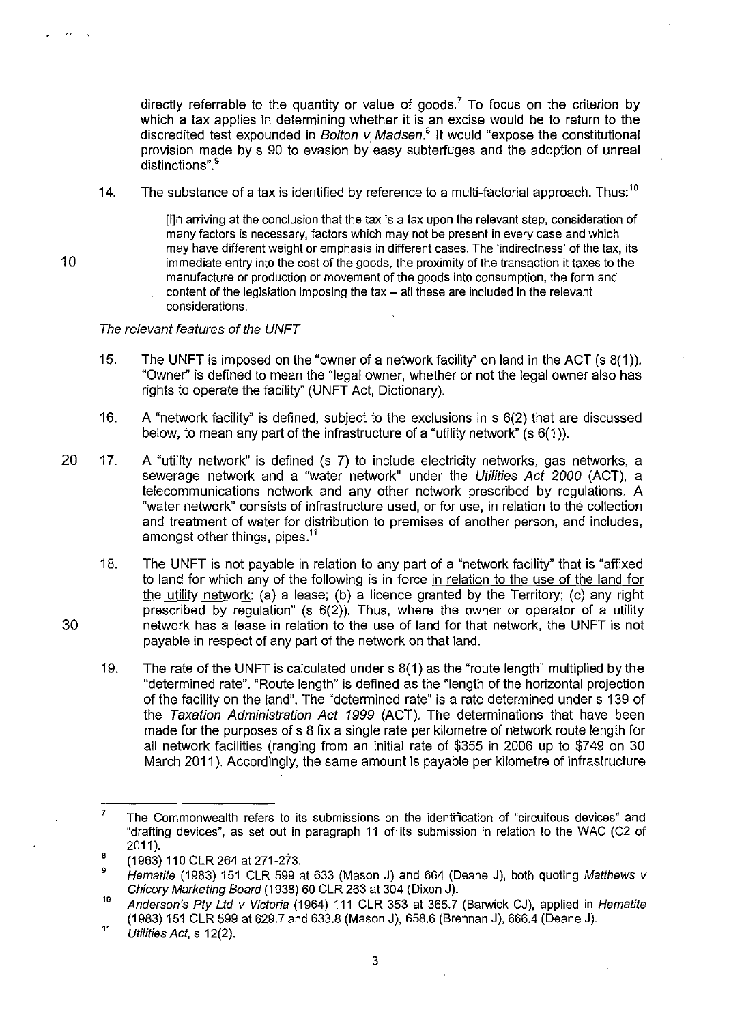directly referrable to the quantity or value of goods.<sup>7</sup> To focus on the criterion by which a tax applies in determining whether it is an excise would be to return to the discredited test expounded in Bolton v Madsen.*8* It would "expose the constitutional provision made by s 90 to evasion by easy subterfuges and the adoption of unreal distinctions".<sup>9</sup>

14. The substance of a tax is identified by reference to a multi-factorial approach. Thus:<sup>10</sup>

> [I]n arriving at the conclusion that the tax is a tax upon the relevant step, consideration of many factors is necessary, factors which may not be present in every case and which may have different weight or emphasis in different cases. The 'indirectness' of the tax, its immediate entry into the cost of the goods, the proximity of the transaction it taxes to the manufacture or production or movement of the goods into consumption, the form and content of the legislation imposing the tax  $-$  all these are included in the relevant considerations.

## The relevant features of the UNFT

- 15. The UNFT is irnposed on the "owner of a network facility" on land in the ACT (s 8(1)). "Owner" is defined to mean the "legal owner, whether or not the legal owner also has rights to operate the facility" (UNFT Act, Dictionary).
- 16. A "network facility" is defined, subject to the exclusions in s 6(2) that are discussed below, to mean any part of the infrastructure of a "utility network" (s 6(1 ».
- 20 17. A "utility network" is defined (s 7) to include electricity networks, gas networks, a sewerage network and a "water network" under the Utilities Act 2000 (ACT), a telecommunications network and any other network prescribed by regulations. A "water network" consists of infrastructure used, or for use, in relation to the collection and treatment of water for distribution to premises of another person, and includes, amongst other things, pipes.<sup>11</sup>
	- 18. The UNFT is not payable in relation to any part of a "network facility" that is "affixed to land for which any of the following is in force in relation to the use of the land for the utility network: (a) a lease; (b) a licence granted by the Territory; (c) any right prescribed by regulation" (s  $6(2)$ ). Thus, where the owner or operator of a utility network has a lease in relation to the use of land for that network, the UNFT is not payable in respect of any part of the network on that land.
	- 19. The rate of the UNFT is calculated under s 8(1) as the "route length" multiplied by the "determined rate". "Route length" is defined as the "length of the horizontal projection of the facility on the land". The "determined rate" is a rate determined under s 139 of the Taxation Administration Act 1999 (ACT). The determinations that have been made for the purposes of s 8 fix a single rate per kilometre of network route length for all network facilities (ranging from an initial rate of \$355 in 2006 up to \$749 on 30 March 2011). Accordingly, the same amount is payable per kilometre of infrastructure

30

<sup>7</sup>  The Commonwealth refers to its submissions on the identification of "circuitous devices" and "drafting devices", as set out in paragraph 11 of-its submission in relation to the WAC (C2 of 2011).

<sup>8</sup>  (1963) 110 CLR 264 at 271-273.

<sup>9</sup>  Hematite (1983) 151 CLR 599 at 633 (Mason J) and 664 (Deane J), both quoting Matthews v Chicory Marketing Board (1938) 60 CLR 263 at 304 (Dixon J).

<sup>10</sup>  Anderson's Pty Ltd v Victoria (1964) 111 CLR 353 at 365.7 (Barwick CJ), applied in Hematite (1983) 151 CLR 599 at 629.7 and 633.8 (Mason J), 658.6 (Brennan J), 666.4 (Deane J).

<sup>11</sup>  Utilities Act, s 12(2).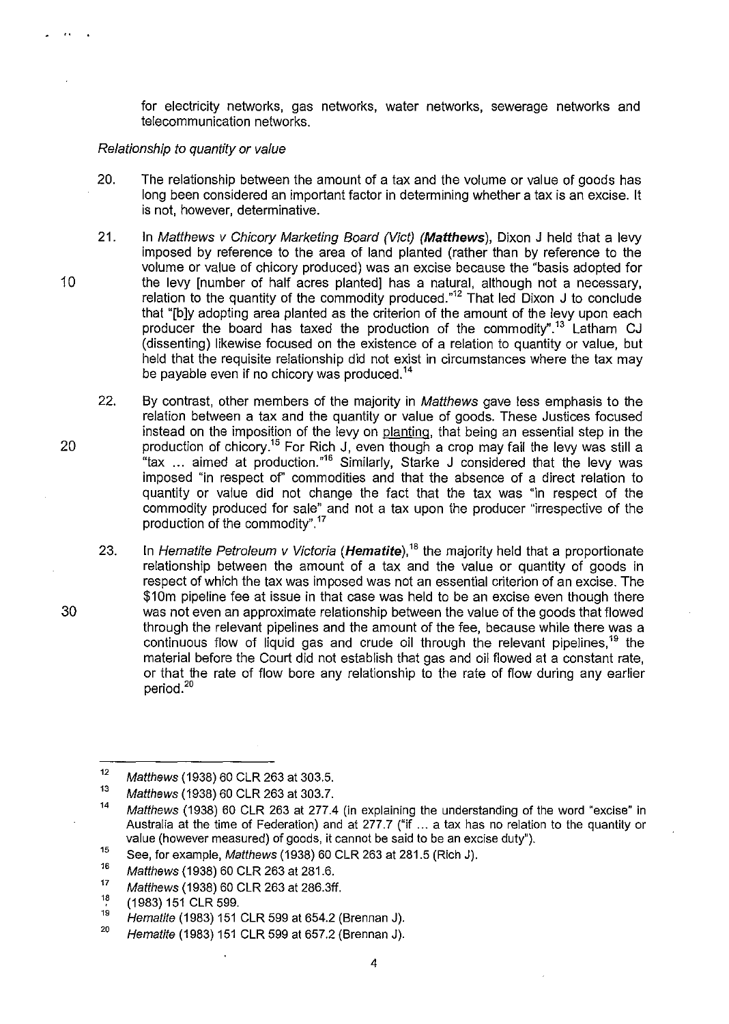for electricity networks, gas networks, water networks, sewerage networks and telecommunication networks.

Relationship to quantity or value

- 20. The relationship between the amount of a tax and the volume or value of goods has long been considered an important factor in determining whether a tax is an excise. It is not, however, determinative.
- 21. In Matthews v Chicory Marketing Board (Vict) (Matthews), Dixon J held that a levy imposed by reference to the area of land planted (rather than by reference to the volume or value of chicory produced) was an excise because the "basis adopted for the levy [number of half acres planted] has a natural, although not a necessary, relation to the quantity of the commodity produced.<sup> $n^2$ </sup> That led Dixon J to conclude that "[b]y adopting area planted as the criterion of the amount of the levy upon each producer the board has taxed the production of the commodity".'3 Latham CJ (dissenting) likewise focused on the existence of a relation to quantity or value, but held that the requisite relationship did not exist in circumstances where the tax may be payable even if no chicory was produced.<sup>14</sup>
- 22. By contrast, other members of the majority in Matthews gave less emphasis to the relation between a tax and the quantity or value of goods. These Justices focused instead on the imposition of the levy on planting. that being an essential step in the production of chicory.<sup>15</sup> For Rich J, even though a crop may fail the levy was still a "tax ... aimed at production."<sup>16</sup> Similarly, Starke J considered that the levy was imposed "in respect of' commodities and that the absence of a direct relation to quantity or value did not change the fact that the tax was "in respect of the commodity produced for sale" and not a tax upon the producer "irrespective of the production of the commodity".17
	- 23. In Hematite Petroleum v Victoria (Hematite),<sup>18</sup> the majority held that a proportionate relationship between the amount of a tax and the value or quantity of goods in respect of which the tax was imposed was not an essential criterion of an excise. The \$10m pipeline fee at issue in that case was held to be an excise even though there was not even an approximate relationship between the value of the goods that flowed through the relevant pipelines and the amount of the fee, because while there was a continuous flow of liquid gas and crude oil through the relevant pipelines.<sup>19</sup> the material before the Court did not establish that gas and oil flowed at a constant rate, or that the rate of flow bore any relationship to the rate of flow during any earlier period.2o

10

 $\cdot$  . .

<sup>12</sup>  Matlhews (1938) 60 CLR 263 at 303.5.

<sup>13</sup>  Matlhews (1938) 60 CLR 263 at 303.7.

<sup>14</sup>  Matlhews (1938) 60 CLR 263 at 277.4 (in explaining the understanding of the word "excise" in Australia at the time of Federation) and at 277.7 ("if ... a tax has no relation to the quantity or value (however measured) of goods, it cannot be said to be an excise duty").

<sup>15</sup>  See, for example, Matthews (1938) 60 CLR 263 at 281.5 (Rich J).

<sup>16</sup>  Matthews (1938) 60 CLR 263 at 281.6.

<sup>17</sup>  Matlhews (1938) 60 CLR 263 at 286.3ff.

<sup>18</sup>  (1983) 151 CLR 599.

<sup>19</sup>  Hematite (1983) 151 CLR 599 at 654.2 (Brennan J).

<sup>20</sup>  Hematite (1983) 151 CLR 599 at 657.2 (Brennan J).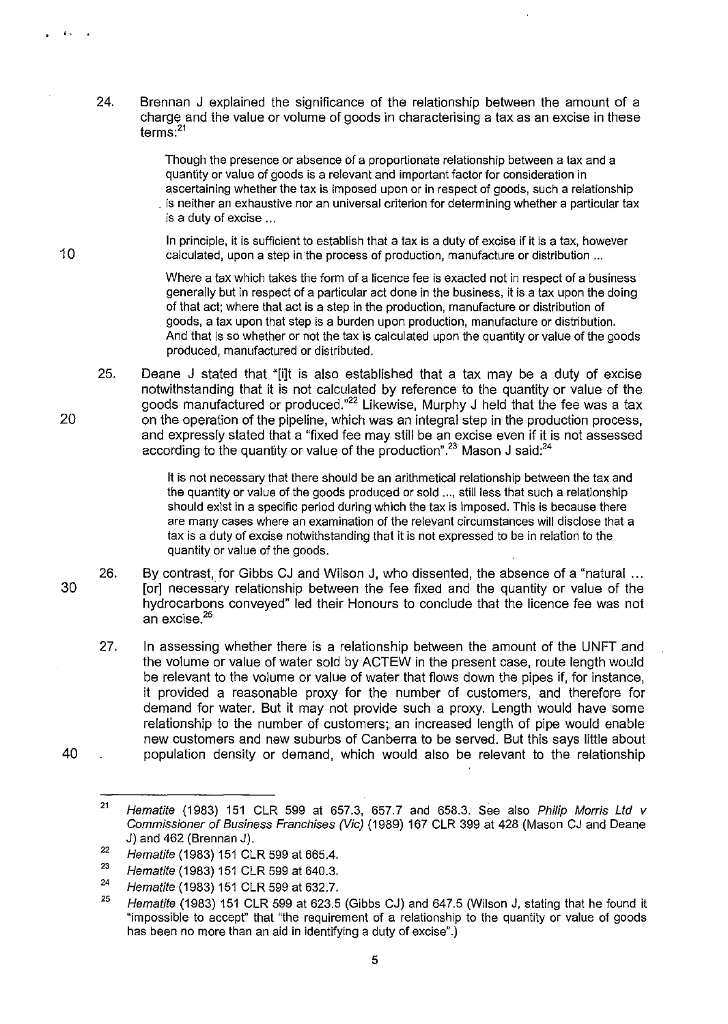24. Brennan J explained the significance of the relationship between the amount of a charge and the value or volume of goods in characterising a tax as an excise in these terms:<sup>21</sup>

> Though the presence or absence of a proportionate relationship between a tax and a quantity or value of goods is a relevant and important factor for consideration in ascertaining whether the tax is imposed upon or in respect of goods, such a relationship . is neither an exhaustive nor an universal criterion for determining whether a particular tax is a duty of excise ...

In principle, it is sufficient to establish that a tax is a duty of excise if it is a tax, however calculated, upon a step in the process of production, manufacture or distribution ...

Where a tax which takes the form of a licence fee is exacted not in respect of a business generally but in respect of a particular act done in the business, it is a tax upon the doing of that act; where that act is a step in the production, manufacture or distribution of goods, a tax upon that step is a burden upon production, manufacture or distribution. And that is so whether or not the tax is calculated upon the quantity or value of the goods produced, manufactured or distributed.

25. Deane J stated that "[i]t is also established that a tax may be a duty of excise notwithstanding that it is not calculated by reference to the quantity or value of the goods manufactured or produced."<sup>22</sup> Likewise, Murphy J held that the fee was a tax on the operation of the pipeline, which was an integral step in the production process, and expressly stated that a "fixed fee may still be an excise even if it is not assessed according to the quantity or value of the production".<sup>23</sup> Mason J said:<sup>24</sup>

> It is not necessary that there should be an arithmetical relationship between the tax and the quantity or value of the goods produced or sold ..., still less that such a relationship should exist in a specific period during which the tax is imposed. This is because there are many cases where an examination of the relevant circumstances will disclose that a tax is a duty of excise notwithstanding that it is not expressed to be in relation to the quantity or value of the goods.

30 26. By contrast, for Gibbs CJ and Wilson J, who dissented, the absence of a "natural ... [or] necessary relationship between the fee fixed and the quantity or value of the hydrocarbons conveyed" led their Honours to conclude that the licence fee was not an excise.<sup>25</sup>

27. In assessing whether there is a relationship between the amount of the UNFT and the volume or value of water sold by ACTEW in the present case, route length would be relevant to the volume or value of water that flows down the pipes if, for instance, it provided a reasonable proxy for the number of customers, and therefore for demand for water. But it may not provide such a proxy. Length would have some relationship to the number of customers; an increased length of pipe would enable new customers and new suburbs of Canberra to be served. But this says little about population density or demand, which would also be relevant to the relationship

40

·,

10

<sup>21</sup>  Hematite (1983) 151 CLR 599 at 657.3, 657.7 and 658.3. See also Philip Morris Ltd  $v$ Commissioner of Business Franchises (Vic) (1989) 167 CLR 399 at 428 (Mason CJ and Deane J) and 462 (Brennan J).

<sup>22</sup>  Hematite (1983) 151 CLR 599 at 665.4.

<sup>23</sup>  Hematite (1983) 151 CLR 599 at 640.3.

<sup>24</sup>  Hematite (1983) 151 CLR 599 at 632.7.

<sup>25</sup>  Hematite (1983) 151 CLR 599 at 623.5 (Gibbs CJ) and 647.5 (Wilson J, stating that he found it "impossible to accept" that "the requirement of a relationship to the quantity or value of goods has been no more than an aid in identifying a duty of excise".)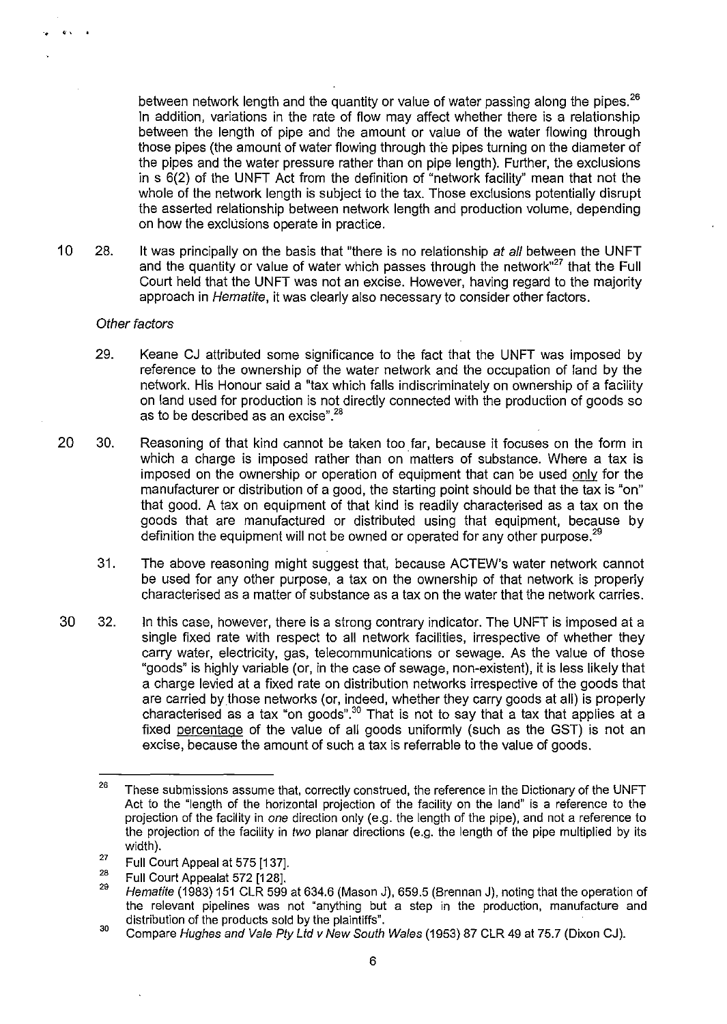between network length and the quantity or value of water passing along the pipes.<sup>26</sup> In addition, variations in the rate of flow may affect whether there is a relationship between the length of pipe and the amount or value of the water flowing through those pipes (the amount of water flowing through the pipes turning on the diameter of the pipes and the water pressure rather than on pipe length). Further, the exclusions in s 6(2) of the UNFT Act from the definition of "network facility" mean that not the whole of the network length is subject to the tax. Those exclusions potentially disrupt the asserted relationship between network length and production volume, depending on how the exclusions operate in practice.

10 28. It was principally on the basis that "there is no relationship at all between the UNFT and the quantity or value of water which passes through the network $n^{27}$  that the Full Court held that the UNFT was not an excise. However, having regard to the majority approach in Hematite, it was clearly also necessary to consider other factors.

### Other factors

 $\cdots$ 

- 29. Keane CJ attributed some significance to the fact that the UNFT was imposed by reference to the ownership of the water network and the occupation of land by the network. His Honour said a "tax which falls indiscriminately on ownership of a facility on land used for production is not directly connected with the production of goods so as to be described as an excise".<sup>28</sup>
- 20 30. Reasoning of that kind cannot be taken too far, because it focuses on the form in which a charge is imposed rather than on matters of substance. Where a tax is imposed on the ownership or operation of equipment that can be used only for the manufacturer or distribution of a good, the starting point should be that the tax is "on" that good. A tax on equipment of that kind is readily characterised as a tax on the goods that are manufactured or distributed using that equipment, because by definition the equipment will not be owned or operated for any other purpose.<sup>29</sup>
	- 31. The above reasoning might suggest that, because ACTEW's water network cannot be used for any other purpose, a tax on the ownership of that network is properly characterised as a matter of substance as a tax on the water that the network carries.
- 30 32. In this case, however, there is a strong contrary indicator. The UNFT is imposed at a single fixed rate with respect to all network facilities, irrespective of whether they carry water, electricity, gas, telecommunications or sewage. As the value of those "goods" is highly variable (or, in the case of sewage, non-existent), it is less likely that a charge levied at a fixed rate on distribution networks irrespective of the goods that are carried by those networks (or, indeed, whether they carry goods at all) is properly characterised as a tax "on goods".<sup>30</sup> That is not to say that a tax that applies at a fixed percentage of the value of all goods uniformly (such as the GST) is not an excise, because the amount of such a tax is referrable to the value of goods.

<sup>26</sup>  These submissions assume that, correctly construed, the reference in the Dictionary of the UNFT Act to the "length of the horizontal projection of the facility on the land" is a reference to the projection of the facility in one direction only (e.g. the length of the pipe), and not a reference to the projection of the facility in two planar directions (e.g. the length of the pipe multiplied by its width).

<sup>27</sup>  Full Court Appeal at 575 [137].

<sup>28</sup>  Full Court Appealat 572 [128].

<sup>29</sup>  Hematite (1983) 151 CLR 599 at 634.6 (Mason J), 659.5 (Brennan J), noting that the operation of the relevant pipelines was not "anything but a step in the production, manufacture and distribution of the products sold by the plaintiffs".

<sup>30</sup>  Compare Hughes and Vale Pty Lld v New South Wales (1953) 87 CLR 49 at 75.7 (Dixon CJ).